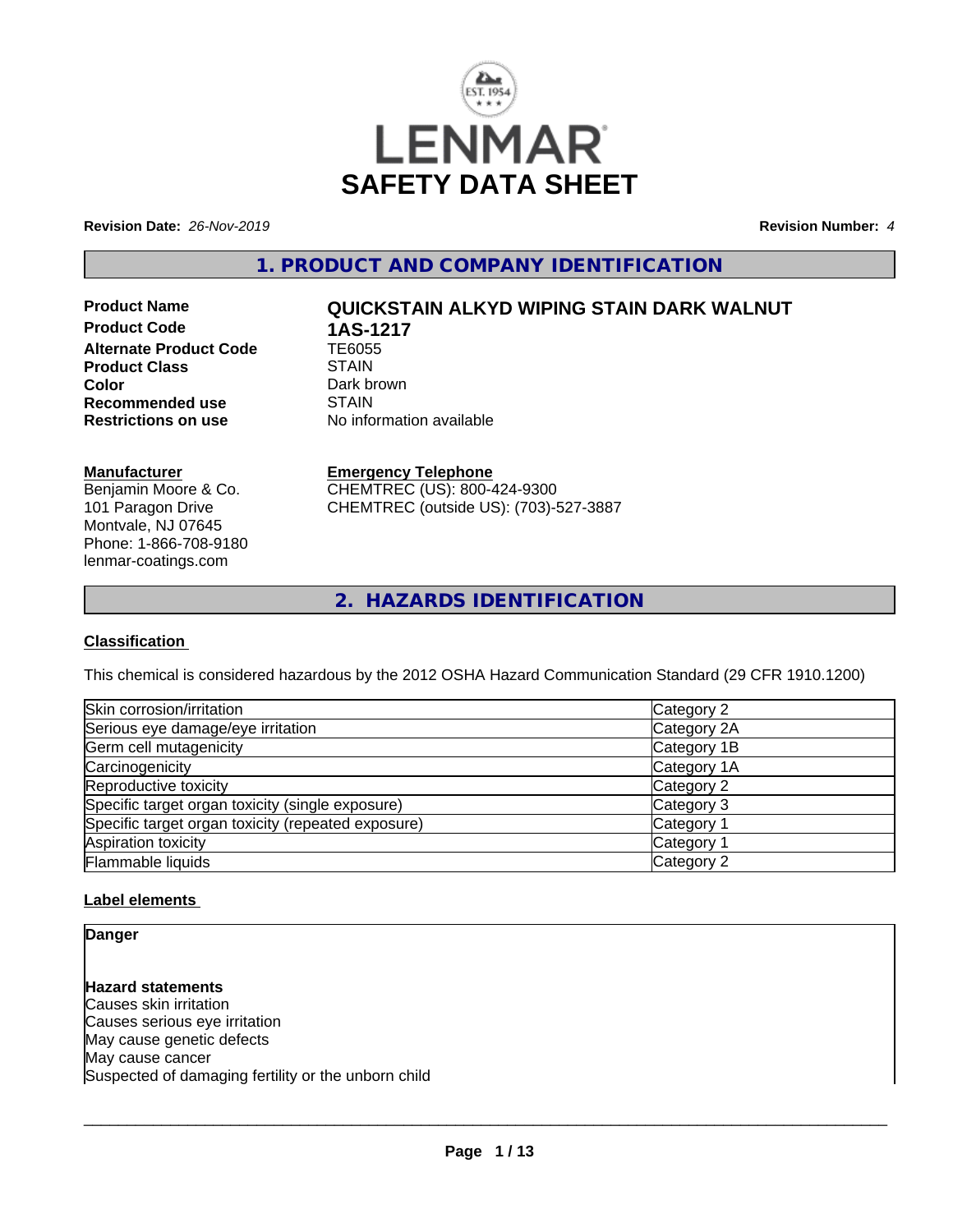

**Revision Date:** *26-Nov-2019* **Revision Number:** *4*

**1. PRODUCT AND COMPANY IDENTIFICATION**

**Product Code 1AS-1217**<br>Alternate Product Code 1E6055 **Alternate Product Code TE6055**<br>Product Class STAIN **Product Class Color** Dark brown<br> **Recommended use** STAIN **Recommended use**<br>Restrictions on use

# **Product Name QUICKSTAIN ALKYD WIPING STAIN DARK WALNUT**

**No information available** 

### **Manufacturer**

Benjamin Moore & Co. 101 Paragon Drive Montvale, NJ 07645 Phone: 1-866-708-9180 lenmar-coatings.com

# **Emergency Telephone**

CHEMTREC (US): 800-424-9300 CHEMTREC (outside US): (703)-527-3887

**2. HAZARDS IDENTIFICATION**

# **Classification**

This chemical is considered hazardous by the 2012 OSHA Hazard Communication Standard (29 CFR 1910.1200)

| Skin corrosion/irritation                          | Category 2            |
|----------------------------------------------------|-----------------------|
| Serious eye damage/eye irritation                  | Category 2A           |
| Germ cell mutagenicity                             | Category 1B           |
| Carcinogenicity                                    | Category 1A           |
| Reproductive toxicity                              | Category 2            |
| Specific target organ toxicity (single exposure)   | Category 3            |
| Specific target organ toxicity (repeated exposure) | Category 1            |
| Aspiration toxicity                                | Category <sup>2</sup> |
| Flammable liquids                                  | Category 2            |

# **Label elements**

**Danger**

**Hazard statements** Causes skin irritation Causes serious eye irritation May cause genetic defects May cause cancer Suspected of damaging fertility or the unborn child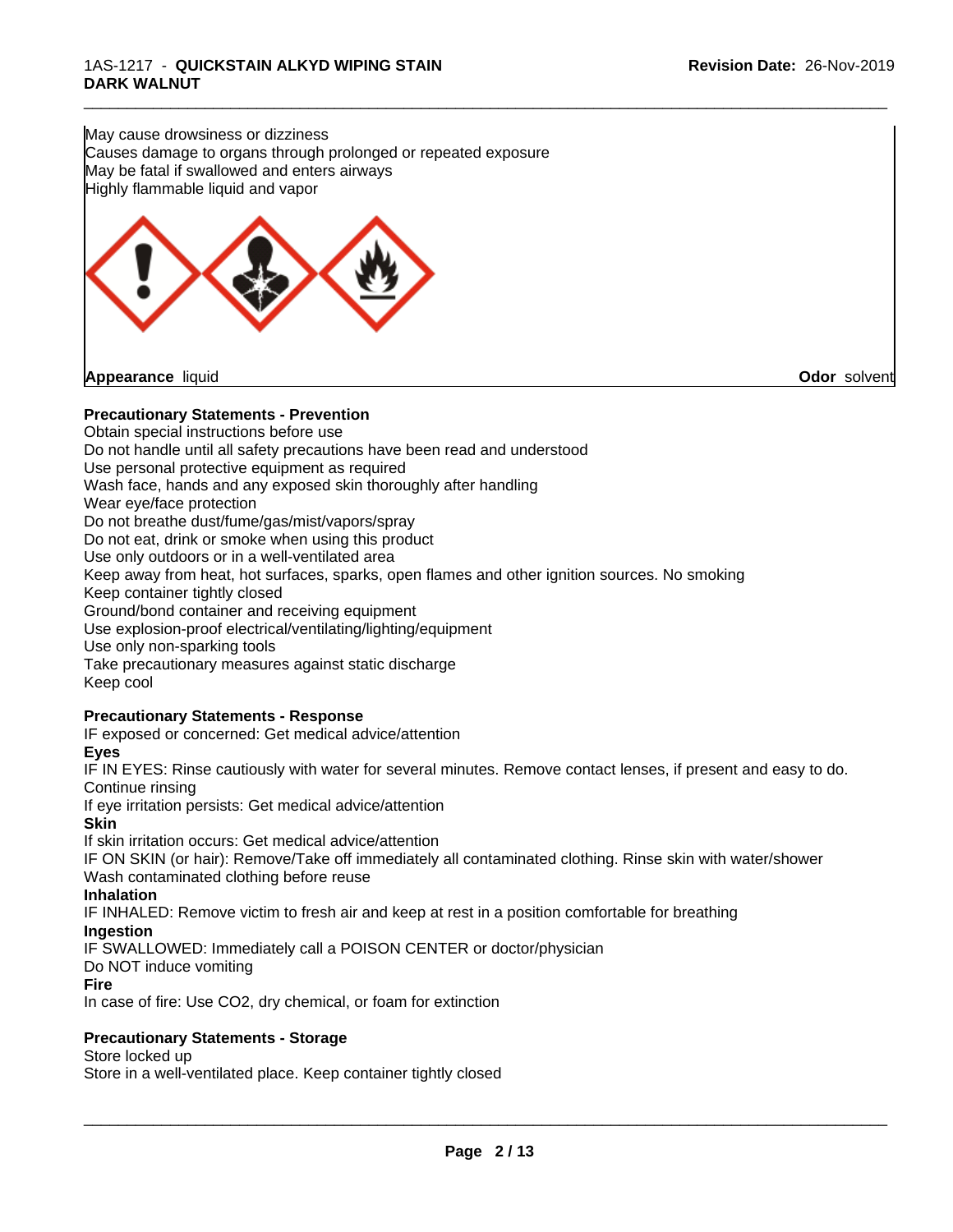May cause drowsiness or dizziness Causes damage to organs through prolonged or repeated exposure May be fatal if swallowed and enters airways Highly flammable liquid and vapor



# **Precautionary Statements - Prevention**

Obtain special instructions before use Do not handle until all safety precautions have been read and understood Use personal protective equipment as required Wash face, hands and any exposed skin thoroughly after handling Wear eye/face protection Do not breathe dust/fume/gas/mist/vapors/spray Do not eat, drink or smoke when using this product Use only outdoors or in a well-ventilated area Keep away from heat, hot surfaces, sparks, open flames and other ignition sources. No smoking Keep container tightly closed Ground/bond container and receiving equipment Use explosion-proof electrical/ventilating/lighting/equipment Use only non-sparking tools Take precautionary measures against static discharge Keep cool **Precautionary Statements - Response**

\_\_\_\_\_\_\_\_\_\_\_\_\_\_\_\_\_\_\_\_\_\_\_\_\_\_\_\_\_\_\_\_\_\_\_\_\_\_\_\_\_\_\_\_\_\_\_\_\_\_\_\_\_\_\_\_\_\_\_\_\_\_\_\_\_\_\_\_\_\_\_\_\_\_\_\_\_\_\_\_\_\_\_\_\_\_\_\_\_\_\_\_\_

IF exposed or concerned: Get medical advice/attention

#### **Eyes**

IF IN EYES: Rinse cautiously with water for several minutes. Remove contact lenses, if present and easy to do. Continue rinsing

If eye irritation persists: Get medical advice/attention

#### **Skin**

If skin irritation occurs: Get medical advice/attention

IF ON SKIN (or hair): Remove/Take off immediately all contaminated clothing. Rinse skin with water/shower Wash contaminated clothing before reuse

#### **Inhalation**

IF INHALED: Remove victim to fresh air and keep atrest in a position comfortable for breathing

#### **Ingestion**

IF SWALLOWED: Immediately call a POISON CENTER or doctor/physician

#### Do NOT induce vomiting

**Fire**

In case of fire: Use CO2, dry chemical, or foam for extinction

# **Precautionary Statements - Storage**

#### Store locked up

Store in a well-ventilated place. Keep container tightly closed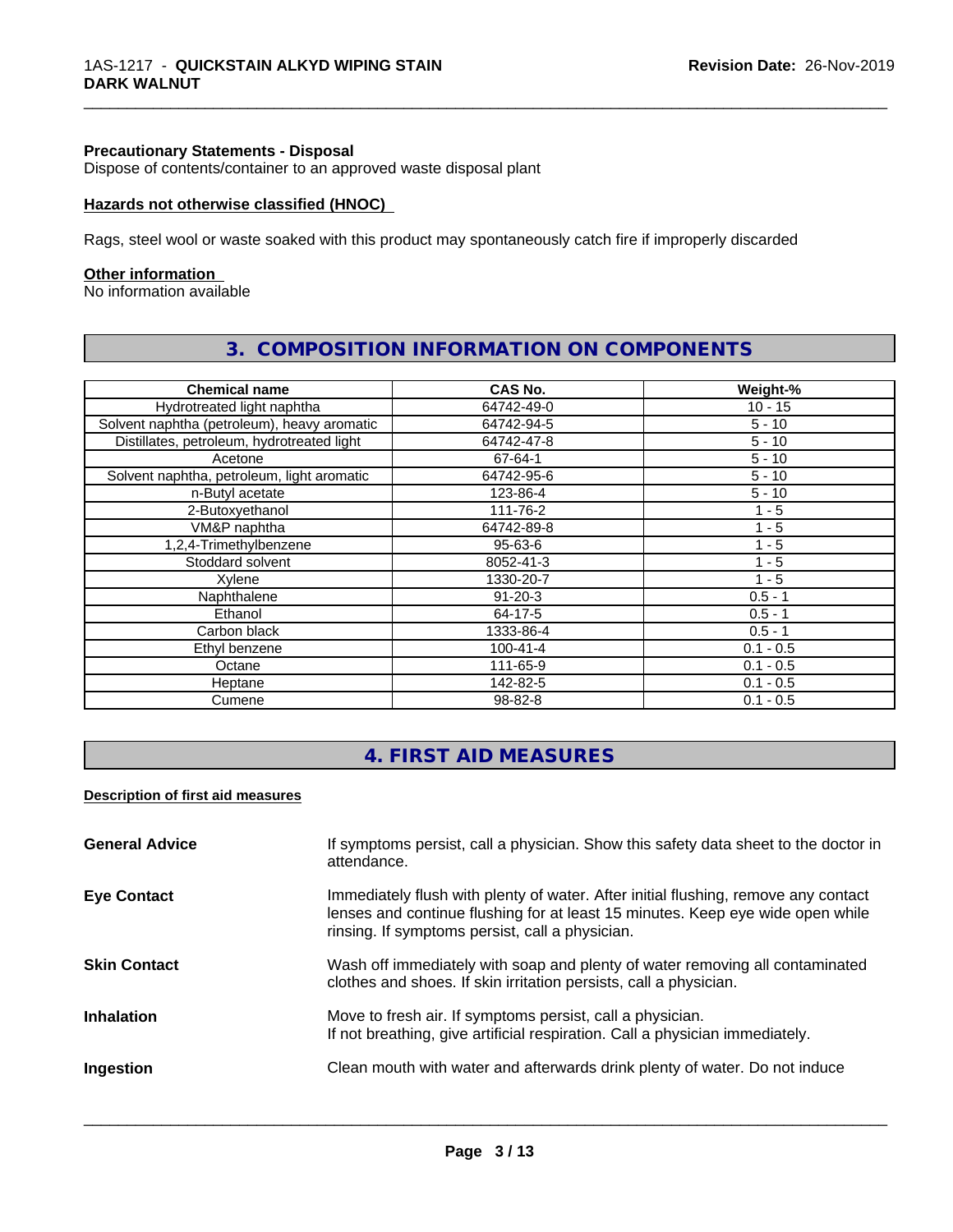#### **Precautionary Statements - Disposal**

Dispose of contents/container to an approved waste disposal plant

#### **Hazards not otherwise classified (HNOC)**

Rags, steel wool or waste soaked with this product may spontaneously catch fire if improperly discarded

#### **Other information**

No information available

| <b>Chemical name</b>                        | CAS No.        | Weight-%    |
|---------------------------------------------|----------------|-------------|
| Hydrotreated light naphtha                  | 64742-49-0     | $10 - 15$   |
| Solvent naphtha (petroleum), heavy aromatic | 64742-94-5     | $5 - 10$    |
| Distillates, petroleum, hydrotreated light  | 64742-47-8     | $5 - 10$    |
| Acetone                                     | 67-64-1        | $5 - 10$    |
| Solvent naphtha, petroleum, light aromatic  | 64742-95-6     | $5 - 10$    |
| n-Butyl acetate                             | 123-86-4       | $5 - 10$    |
| 2-Butoxyethanol                             | 111-76-2       | $1 - 5$     |
| VM&P naphtha                                | 64742-89-8     | $1 - 5$     |
| 1,2,4-Trimethylbenzene                      | $95 - 63 - 6$  | $1 - 5$     |
| Stoddard solvent                            | 8052-41-3      | 1 - 5       |
| Xylene                                      | 1330-20-7      | $1 - 5$     |
| Naphthalene                                 | $91 - 20 - 3$  | $0.5 - 1$   |
| Ethanol                                     | 64-17-5        | $0.5 - 1$   |
| Carbon black                                | 1333-86-4      | $0.5 - 1$   |
| Ethyl benzene                               | $100 - 41 - 4$ | $0.1 - 0.5$ |
| Octane                                      | 111-65-9       | $0.1 - 0.5$ |
| Heptane                                     | 142-82-5       | $0.1 - 0.5$ |
| Cumene                                      | 98-82-8        | $0.1 - 0.5$ |

# **3. COMPOSITION INFORMATION ON COMPONENTS**

\_\_\_\_\_\_\_\_\_\_\_\_\_\_\_\_\_\_\_\_\_\_\_\_\_\_\_\_\_\_\_\_\_\_\_\_\_\_\_\_\_\_\_\_\_\_\_\_\_\_\_\_\_\_\_\_\_\_\_\_\_\_\_\_\_\_\_\_\_\_\_\_\_\_\_\_\_\_\_\_\_\_\_\_\_\_\_\_\_\_\_\_\_

# **4. FIRST AID MEASURES**

# **Description of first aid measures**

| <b>General Advice</b> | If symptoms persist, call a physician. Show this safety data sheet to the doctor in<br>attendance.                                                                                                                      |
|-----------------------|-------------------------------------------------------------------------------------------------------------------------------------------------------------------------------------------------------------------------|
| <b>Eye Contact</b>    | Immediately flush with plenty of water. After initial flushing, remove any contact<br>lenses and continue flushing for at least 15 minutes. Keep eye wide open while<br>rinsing. If symptoms persist, call a physician. |
| <b>Skin Contact</b>   | Wash off immediately with soap and plenty of water removing all contaminated<br>clothes and shoes. If skin irritation persists, call a physician.                                                                       |
| <b>Inhalation</b>     | Move to fresh air. If symptoms persist, call a physician.<br>If not breathing, give artificial respiration. Call a physician immediately.                                                                               |
| Ingestion             | Clean mouth with water and afterwards drink plenty of water. Do not induce                                                                                                                                              |
|                       |                                                                                                                                                                                                                         |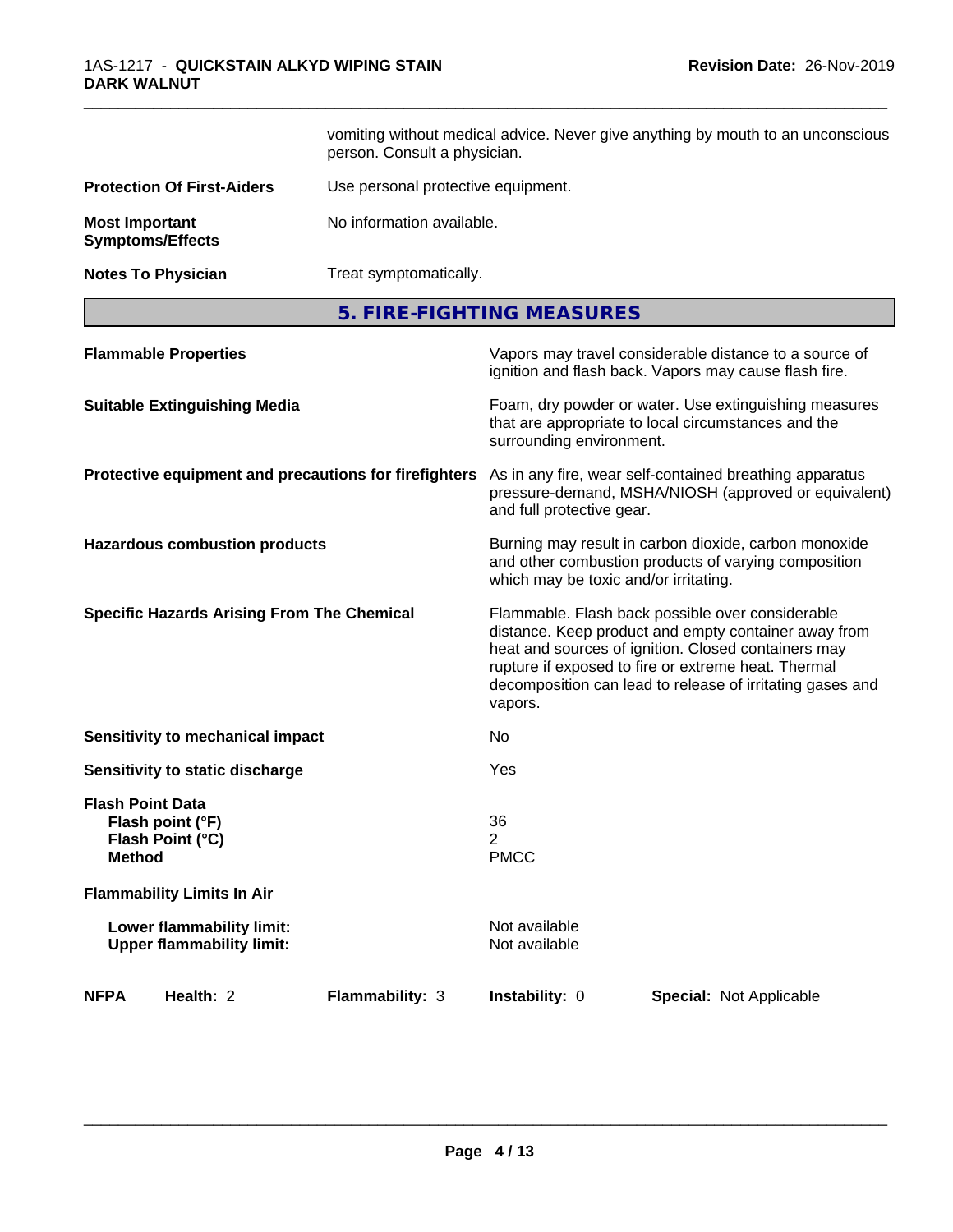|                                                                                  | vomiting without medical advice. Never give anything by mouth to an unconscious<br>person. Consult a physician. |                                       |                                                                                                                                                                                                                                                                                     |  |
|----------------------------------------------------------------------------------|-----------------------------------------------------------------------------------------------------------------|---------------------------------------|-------------------------------------------------------------------------------------------------------------------------------------------------------------------------------------------------------------------------------------------------------------------------------------|--|
| <b>Protection Of First-Aiders</b>                                                | Use personal protective equipment.                                                                              |                                       |                                                                                                                                                                                                                                                                                     |  |
| <b>Most Important</b><br><b>Symptoms/Effects</b>                                 | No information available.                                                                                       |                                       |                                                                                                                                                                                                                                                                                     |  |
| <b>Notes To Physician</b>                                                        | Treat symptomatically.                                                                                          |                                       |                                                                                                                                                                                                                                                                                     |  |
|                                                                                  |                                                                                                                 | 5. FIRE-FIGHTING MEASURES             |                                                                                                                                                                                                                                                                                     |  |
| <b>Flammable Properties</b>                                                      |                                                                                                                 |                                       | Vapors may travel considerable distance to a source of<br>ignition and flash back. Vapors may cause flash fire.                                                                                                                                                                     |  |
| <b>Suitable Extinguishing Media</b>                                              |                                                                                                                 | surrounding environment.              | Foam, dry powder or water. Use extinguishing measures<br>that are appropriate to local circumstances and the                                                                                                                                                                        |  |
| Protective equipment and precautions for firefighters                            |                                                                                                                 | and full protective gear.             | As in any fire, wear self-contained breathing apparatus<br>pressure-demand, MSHA/NIOSH (approved or equivalent)                                                                                                                                                                     |  |
| <b>Hazardous combustion products</b>                                             |                                                                                                                 | which may be toxic and/or irritating. | Burning may result in carbon dioxide, carbon monoxide<br>and other combustion products of varying composition                                                                                                                                                                       |  |
| <b>Specific Hazards Arising From The Chemical</b>                                |                                                                                                                 | vapors.                               | Flammable. Flash back possible over considerable<br>distance. Keep product and empty container away from<br>heat and sources of ignition. Closed containers may<br>rupture if exposed to fire or extreme heat. Thermal<br>decomposition can lead to release of irritating gases and |  |
| Sensitivity to mechanical impact                                                 |                                                                                                                 | No.                                   |                                                                                                                                                                                                                                                                                     |  |
| Sensitivity to static discharge                                                  |                                                                                                                 | Yes                                   |                                                                                                                                                                                                                                                                                     |  |
| <b>Flash Point Data</b><br>Flash point (°F)<br>Flash Point (°C)<br><b>Method</b> |                                                                                                                 | 36<br>2<br><b>PMCC</b>                |                                                                                                                                                                                                                                                                                     |  |
| <b>Flammability Limits In Air</b>                                                |                                                                                                                 |                                       |                                                                                                                                                                                                                                                                                     |  |
| Lower flammability limit:<br><b>Upper flammability limit:</b>                    |                                                                                                                 | Not available<br>Not available        |                                                                                                                                                                                                                                                                                     |  |
| Health: 2<br><b>NFPA</b>                                                         | Flammability: 3                                                                                                 | Instability: 0                        | Special: Not Applicable                                                                                                                                                                                                                                                             |  |

\_\_\_\_\_\_\_\_\_\_\_\_\_\_\_\_\_\_\_\_\_\_\_\_\_\_\_\_\_\_\_\_\_\_\_\_\_\_\_\_\_\_\_\_\_\_\_\_\_\_\_\_\_\_\_\_\_\_\_\_\_\_\_\_\_\_\_\_\_\_\_\_\_\_\_\_\_\_\_\_\_\_\_\_\_\_\_\_\_\_\_\_\_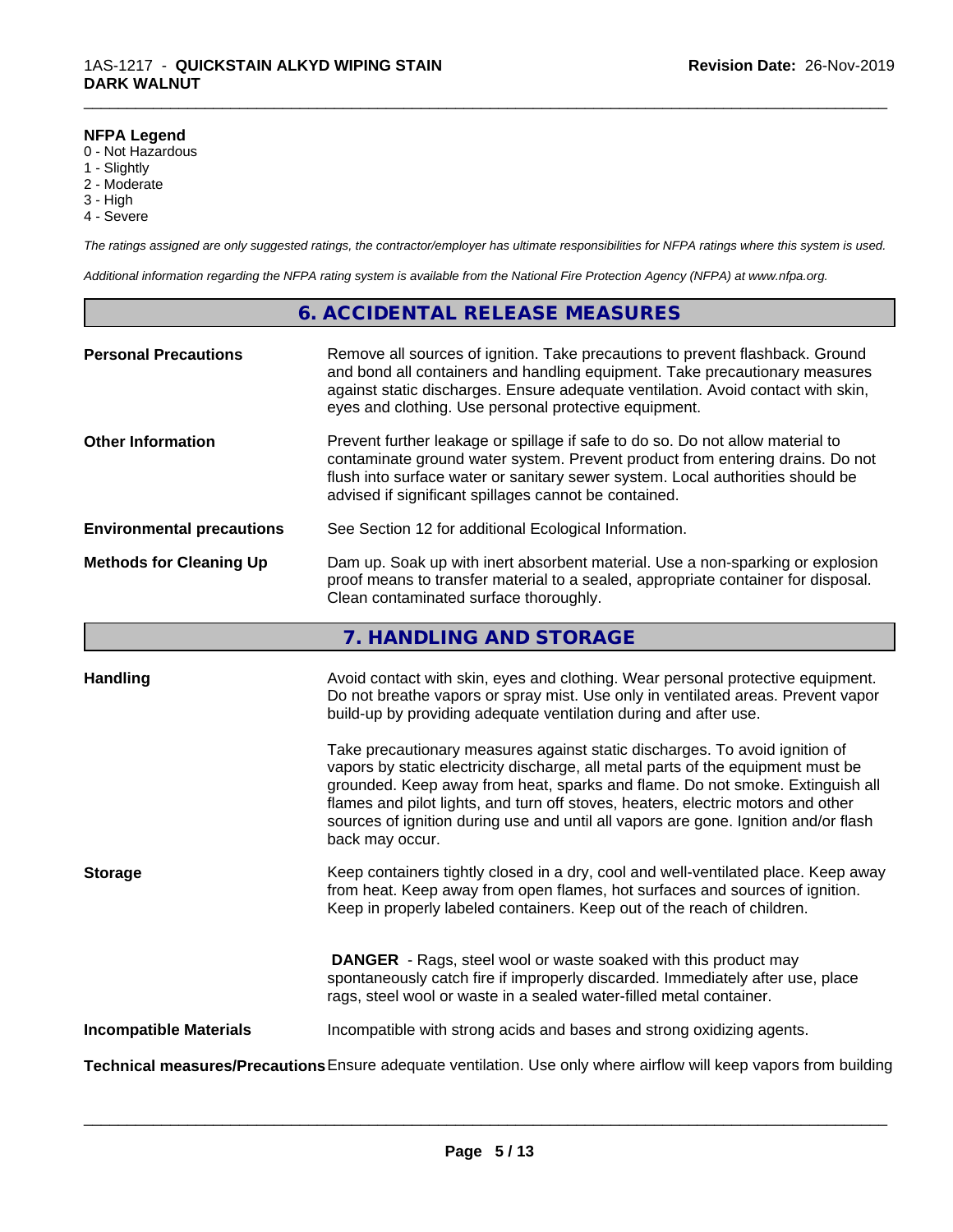#### **NFPA Legend**

- 0 Not Hazardous
- 1 Slightly
- 2 Moderate
- 3 High
- 4 Severe

*The ratings assigned are only suggested ratings, the contractor/employer has ultimate responsibilities for NFPA ratings where this system is used.*

\_\_\_\_\_\_\_\_\_\_\_\_\_\_\_\_\_\_\_\_\_\_\_\_\_\_\_\_\_\_\_\_\_\_\_\_\_\_\_\_\_\_\_\_\_\_\_\_\_\_\_\_\_\_\_\_\_\_\_\_\_\_\_\_\_\_\_\_\_\_\_\_\_\_\_\_\_\_\_\_\_\_\_\_\_\_\_\_\_\_\_\_\_

*Additional information regarding the NFPA rating system is available from the National Fire Protection Agency (NFPA) at www.nfpa.org.*

# **6. ACCIDENTAL RELEASE MEASURES**

| <b>Personal Precautions</b>      | Remove all sources of ignition. Take precautions to prevent flashback. Ground<br>and bond all containers and handling equipment. Take precautionary measures<br>against static discharges. Ensure adequate ventilation. Avoid contact with skin,<br>eyes and clothing. Use personal protective equipment.  |
|----------------------------------|------------------------------------------------------------------------------------------------------------------------------------------------------------------------------------------------------------------------------------------------------------------------------------------------------------|
| <b>Other Information</b>         | Prevent further leakage or spillage if safe to do so. Do not allow material to<br>contaminate ground water system. Prevent product from entering drains. Do not<br>flush into surface water or sanitary sewer system. Local authorities should be<br>advised if significant spillages cannot be contained. |
| <b>Environmental precautions</b> | See Section 12 for additional Ecological Information.                                                                                                                                                                                                                                                      |
| <b>Methods for Cleaning Up</b>   | Dam up. Soak up with inert absorbent material. Use a non-sparking or explosion<br>proof means to transfer material to a sealed, appropriate container for disposal.<br>Clean contaminated surface thoroughly.                                                                                              |

# **7. HANDLING AND STORAGE**

| <b>Handling</b>               | Avoid contact with skin, eyes and clothing. Wear personal protective equipment.<br>Do not breathe vapors or spray mist. Use only in ventilated areas. Prevent vapor                                                                                                                                                  |
|-------------------------------|----------------------------------------------------------------------------------------------------------------------------------------------------------------------------------------------------------------------------------------------------------------------------------------------------------------------|
|                               | build-up by providing adequate ventilation during and after use.<br>Take precautionary measures against static discharges. To avoid ignition of<br>vapors by static electricity discharge, all metal parts of the equipment must be<br>grounded. Keep away from heat, sparks and flame. Do not smoke. Extinguish all |
|                               | flames and pilot lights, and turn off stoves, heaters, electric motors and other<br>sources of ignition during use and until all vapors are gone. Ignition and/or flash<br>back may occur.                                                                                                                           |
| <b>Storage</b>                | Keep containers tightly closed in a dry, cool and well-ventilated place. Keep away<br>from heat. Keep away from open flames, hot surfaces and sources of ignition.<br>Keep in properly labeled containers. Keep out of the reach of children.                                                                        |
|                               | <b>DANGER</b> - Rags, steel wool or waste soaked with this product may<br>spontaneously catch fire if improperly discarded. Immediately after use, place<br>rags, steel wool or waste in a sealed water-filled metal container.                                                                                      |
| <b>Incompatible Materials</b> | Incompatible with strong acids and bases and strong oxidizing agents.                                                                                                                                                                                                                                                |
|                               | Technical measures/Precautions Ensure adequate ventilation. Use only where airflow will keep vapors from building                                                                                                                                                                                                    |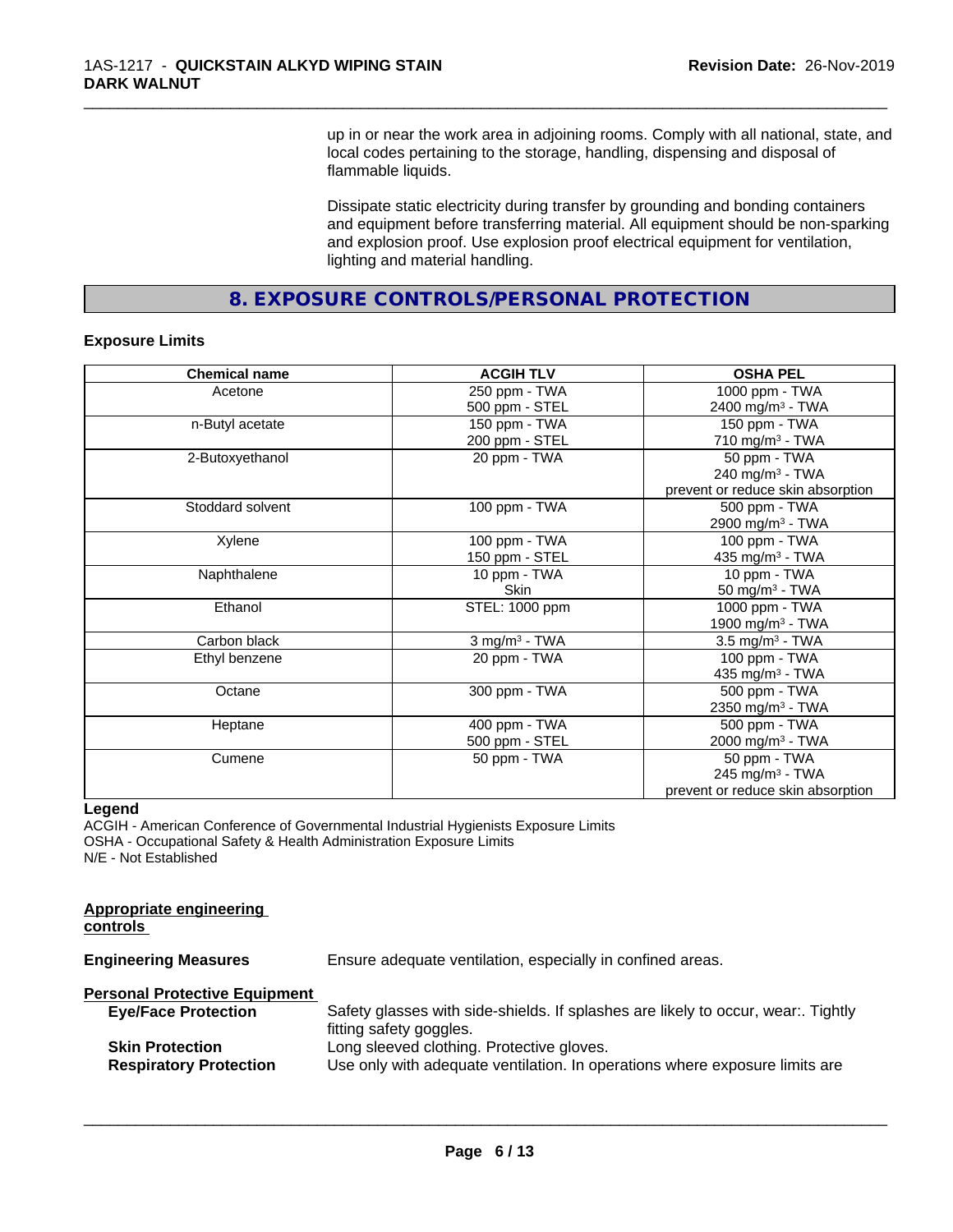up in or near the work area in adjoining rooms. Comply with all national, state, and local codes pertaining to the storage, handling, dispensing and disposal of flammable liquids.

\_\_\_\_\_\_\_\_\_\_\_\_\_\_\_\_\_\_\_\_\_\_\_\_\_\_\_\_\_\_\_\_\_\_\_\_\_\_\_\_\_\_\_\_\_\_\_\_\_\_\_\_\_\_\_\_\_\_\_\_\_\_\_\_\_\_\_\_\_\_\_\_\_\_\_\_\_\_\_\_\_\_\_\_\_\_\_\_\_\_\_\_\_

Dissipate static electricity during transfer by grounding and bonding containers and equipment before transferring material. All equipment should be non-sparking and explosion proof. Use explosion proof electrical equipment for ventilation, lighting and material handling.

**8. EXPOSURE CONTROLS/PERSONAL PROTECTION**

#### **Exposure Limits**

| <b>Chemical name</b> | <b>ACGIH TLV</b>            | <b>OSHA PEL</b>                   |
|----------------------|-----------------------------|-----------------------------------|
| Acetone              | 250 ppm - TWA               | 1000 ppm - TWA                    |
|                      | 500 ppm - STEL              | 2400 mg/m <sup>3</sup> - TWA      |
| n-Butyl acetate      | 150 ppm - TWA               | 150 ppm - TWA                     |
|                      | 200 ppm - STEL              | 710 mg/m $3$ - TWA                |
| 2-Butoxyethanol      | 20 ppm - TWA                | 50 ppm - TWA                      |
|                      |                             | $240$ mg/m <sup>3</sup> - TWA     |
|                      |                             | prevent or reduce skin absorption |
| Stoddard solvent     | 100 ppm - TWA               | 500 ppm - TWA                     |
|                      |                             | 2900 mg/m <sup>3</sup> - TWA      |
| Xylene               | 100 ppm - TWA               | 100 ppm - TWA                     |
|                      | 150 ppm - STEL              | 435 mg/m <sup>3</sup> - TWA       |
| Naphthalene          | 10 ppm - TWA                | 10 ppm - TWA                      |
|                      | <b>Skin</b>                 | 50 mg/m $3$ - TWA                 |
| Ethanol              | STEL: 1000 ppm              | 1000 ppm - TWA                    |
|                      |                             | 1900 mg/m <sup>3</sup> - TWA      |
| Carbon black         | $3$ mg/m <sup>3</sup> - TWA | $3.5$ mg/m <sup>3</sup> - TWA     |
| Ethyl benzene        | 20 ppm - TWA                | 100 ppm - TWA                     |
|                      |                             | 435 mg/m $3$ - TWA                |
| Octane               | 300 ppm - TWA               | 500 ppm - TWA                     |
|                      |                             | 2350 mg/m <sup>3</sup> - TWA      |
| Heptane              | 400 ppm - TWA               | 500 ppm - TWA                     |
|                      | 500 ppm - STEL              | 2000 mg/m <sup>3</sup> - TWA      |
| Cumene               | 50 ppm - TWA                | 50 ppm - TWA                      |
|                      |                             | 245 mg/m $3$ - TWA                |
|                      |                             | prevent or reduce skin absorption |

#### **Legend**

ACGIH - American Conference of Governmental Industrial Hygienists Exposure Limits OSHA - Occupational Safety & Health Administration Exposure Limits N/E - Not Established

| Appropriate engineering<br>controls                                                                                                                                                 |  |
|-------------------------------------------------------------------------------------------------------------------------------------------------------------------------------------|--|
| <b>Engineering Measures</b><br>Ensure adequate ventilation, especially in confined areas.                                                                                           |  |
| <b>Personal Protective Equipment</b>                                                                                                                                                |  |
| Safety glasses with side-shields. If splashes are likely to occur, wear Tightly<br><b>Eye/Face Protection</b><br>fitting safety goggles.                                            |  |
| Long sleeved clothing. Protective gloves.<br><b>Skin Protection</b><br>Use only with adequate ventilation. In operations where exposure limits are<br><b>Respiratory Protection</b> |  |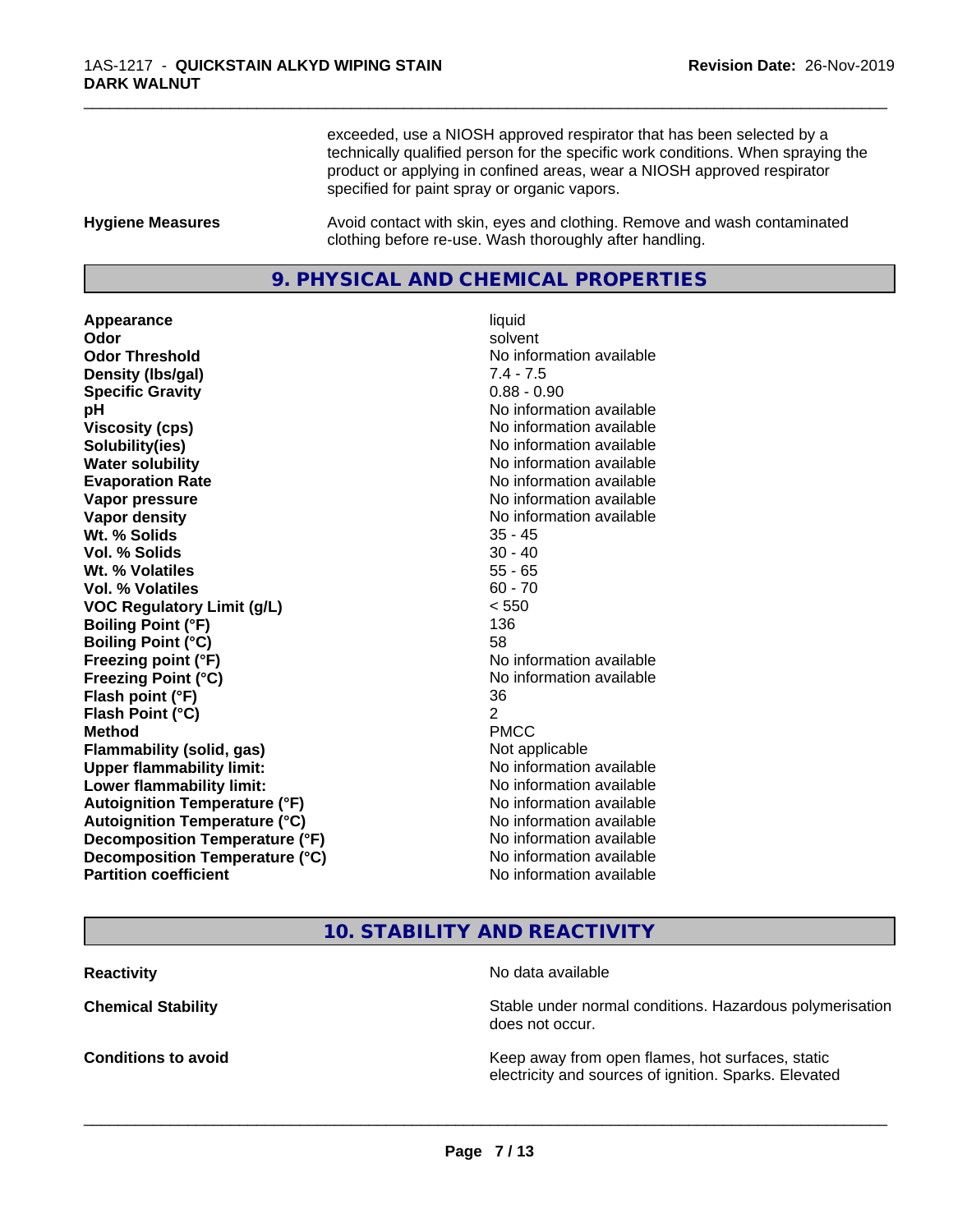exceeded, use a NIOSH approved respirator that has been selected by a technically qualified person for the specific work conditions. When spraying the product or applying in confined areas, wear a NIOSH approved respirator specified for paint spray or organic vapors.

\_\_\_\_\_\_\_\_\_\_\_\_\_\_\_\_\_\_\_\_\_\_\_\_\_\_\_\_\_\_\_\_\_\_\_\_\_\_\_\_\_\_\_\_\_\_\_\_\_\_\_\_\_\_\_\_\_\_\_\_\_\_\_\_\_\_\_\_\_\_\_\_\_\_\_\_\_\_\_\_\_\_\_\_\_\_\_\_\_\_\_\_\_

**Hygiene Measures** Avoid contact with skin, eyes and clothing. Remove and wash contaminated clothing before re-use. Wash thoroughly after handling.

# **9. PHYSICAL AND CHEMICAL PROPERTIES**

**Appearance** liquid **Odor** solvent **Odor Threshold** No information available **Density (lbs/gal)** 7.4 - 7.5 **Specific Gravity** 0.88 - 0.90 **pH** No information available **Viscosity (cps)** No information available **Solubility(ies)** No information available **Water solubility** No information available **Evaporation Rate No information available No information available Vapor pressure** No information available **No information** available **Vapor density No information available No information available Wt. % Solids** 35 - 45 **Vol. % Solids** 30 - 40 **Wt. % Volatiles** 55 - 65 **Vol. % Volatiles** 60 - 70 **VOC Regulatory Limit (g/L)** < 550 **Boiling Point (°F)** 136 **Boiling Point (°C)** 58 **Freezing point (°F)** No information available **Freezing Point (°C)** The state of the Monometer of Noinformation available **Flash point (°F)** 36 **Flash Point (°C)** 2 **Method** PMCC **Flammability (solid, gas)** Not applicable **Upper flammability limit:** No information available **Lower flammability limit:**  $\qquad \qquad \qquad$  No information available **Autoignition Temperature (°F)** No information available **Autoignition Temperature (°C)** No information available **Decomposition Temperature (°F)** No information available<br> **Decomposition Temperature (°C)** No information available **Decomposition Temperature (°C) Partition coefficient** No information available

# **10. STABILITY AND REACTIVITY**

**Reactivity** No data available

 $\overline{\phantom{a}}$  ,  $\overline{\phantom{a}}$  ,  $\overline{\phantom{a}}$  ,  $\overline{\phantom{a}}$  ,  $\overline{\phantom{a}}$  ,  $\overline{\phantom{a}}$  ,  $\overline{\phantom{a}}$  ,  $\overline{\phantom{a}}$  ,  $\overline{\phantom{a}}$  ,  $\overline{\phantom{a}}$  ,  $\overline{\phantom{a}}$  ,  $\overline{\phantom{a}}$  ,  $\overline{\phantom{a}}$  ,  $\overline{\phantom{a}}$  ,  $\overline{\phantom{a}}$  ,  $\overline{\phantom{a}}$ 

**Chemical Stability Stability** Stable under normal conditions. Hazardous polymerisation does not occur.

**Conditions to avoid Keep away from open flames, hot surfaces, static Conditions to avoid Keep away from open flames**, hot surfaces, static electricity and sources of ignition. Sparks. Elevated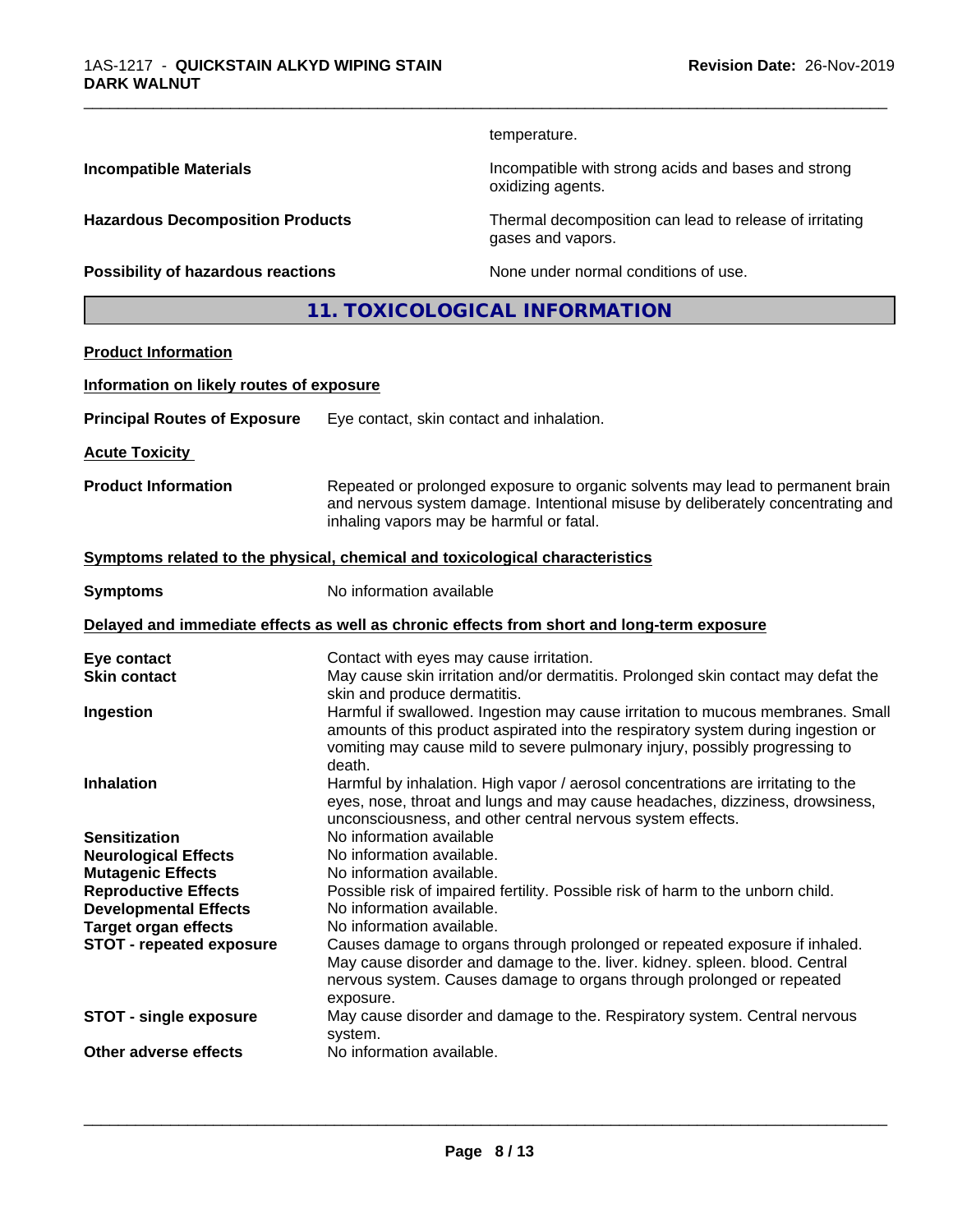temperature.

oxidizing agents.

gases and vapors.

\_\_\_\_\_\_\_\_\_\_\_\_\_\_\_\_\_\_\_\_\_\_\_\_\_\_\_\_\_\_\_\_\_\_\_\_\_\_\_\_\_\_\_\_\_\_\_\_\_\_\_\_\_\_\_\_\_\_\_\_\_\_\_\_\_\_\_\_\_\_\_\_\_\_\_\_\_\_\_\_\_\_\_\_\_\_\_\_\_\_\_\_\_

**Incompatible Materials Incompatible with strong acids and bases and strong** 

**Hazardous Decomposition Products** Thermal decomposition can lead to release of irritating

**Possibility of hazardous reactions** None under normal conditions of use.

**11. TOXICOLOGICAL INFORMATION**

# **Product Information**

#### **Information on likely routes of exposure**

| <b>Principal Routes of Exposure</b> | Eye contact, skin contact and inhalation. |
|-------------------------------------|-------------------------------------------|
|-------------------------------------|-------------------------------------------|

**Acute Toxicity** 

**Product Information** Repeated or prolonged exposure to organic solvents may lead to permanent brain and nervous system damage. Intentional misuse by deliberately concentrating and inhaling vapors may be harmful or fatal.

#### **<u>Symptoms related to the physical, chemical and toxicological characteristics</u>**

**Symptoms** No information available

### **Delayed and immediate effects as well as chronic effects from short and long-term exposure**

| Eye contact                     | Contact with eyes may cause irritation.                                                                           |
|---------------------------------|-------------------------------------------------------------------------------------------------------------------|
| <b>Skin contact</b>             | May cause skin irritation and/or dermatitis. Prolonged skin contact may defat the<br>skin and produce dermatitis. |
|                                 |                                                                                                                   |
| Ingestion                       | Harmful if swallowed. Ingestion may cause irritation to mucous membranes. Small                                   |
|                                 | amounts of this product aspirated into the respiratory system during ingestion or                                 |
|                                 | vomiting may cause mild to severe pulmonary injury, possibly progressing to                                       |
|                                 | death.                                                                                                            |
| <b>Inhalation</b>               | Harmful by inhalation. High vapor / aerosol concentrations are irritating to the                                  |
|                                 | eyes, nose, throat and lungs and may cause headaches, dizziness, drowsiness,                                      |
|                                 | unconsciousness, and other central nervous system effects.                                                        |
| <b>Sensitization</b>            | No information available                                                                                          |
| <b>Neurological Effects</b>     | No information available.                                                                                         |
| <b>Mutagenic Effects</b>        | No information available.                                                                                         |
|                                 | Possible risk of impaired fertility. Possible risk of harm to the unborn child.                                   |
| <b>Reproductive Effects</b>     |                                                                                                                   |
| <b>Developmental Effects</b>    | No information available.                                                                                         |
| <b>Target organ effects</b>     | No information available.                                                                                         |
| <b>STOT - repeated exposure</b> | Causes damage to organs through prolonged or repeated exposure if inhaled.                                        |
|                                 | May cause disorder and damage to the. liver. kidney. spleen. blood. Central                                       |
|                                 | nervous system. Causes damage to organs through prolonged or repeated                                             |
|                                 | exposure.                                                                                                         |
| <b>STOT - single exposure</b>   | May cause disorder and damage to the. Respiratory system. Central nervous                                         |
|                                 | system.                                                                                                           |
| Other adverse effects           | No information available.                                                                                         |
|                                 |                                                                                                                   |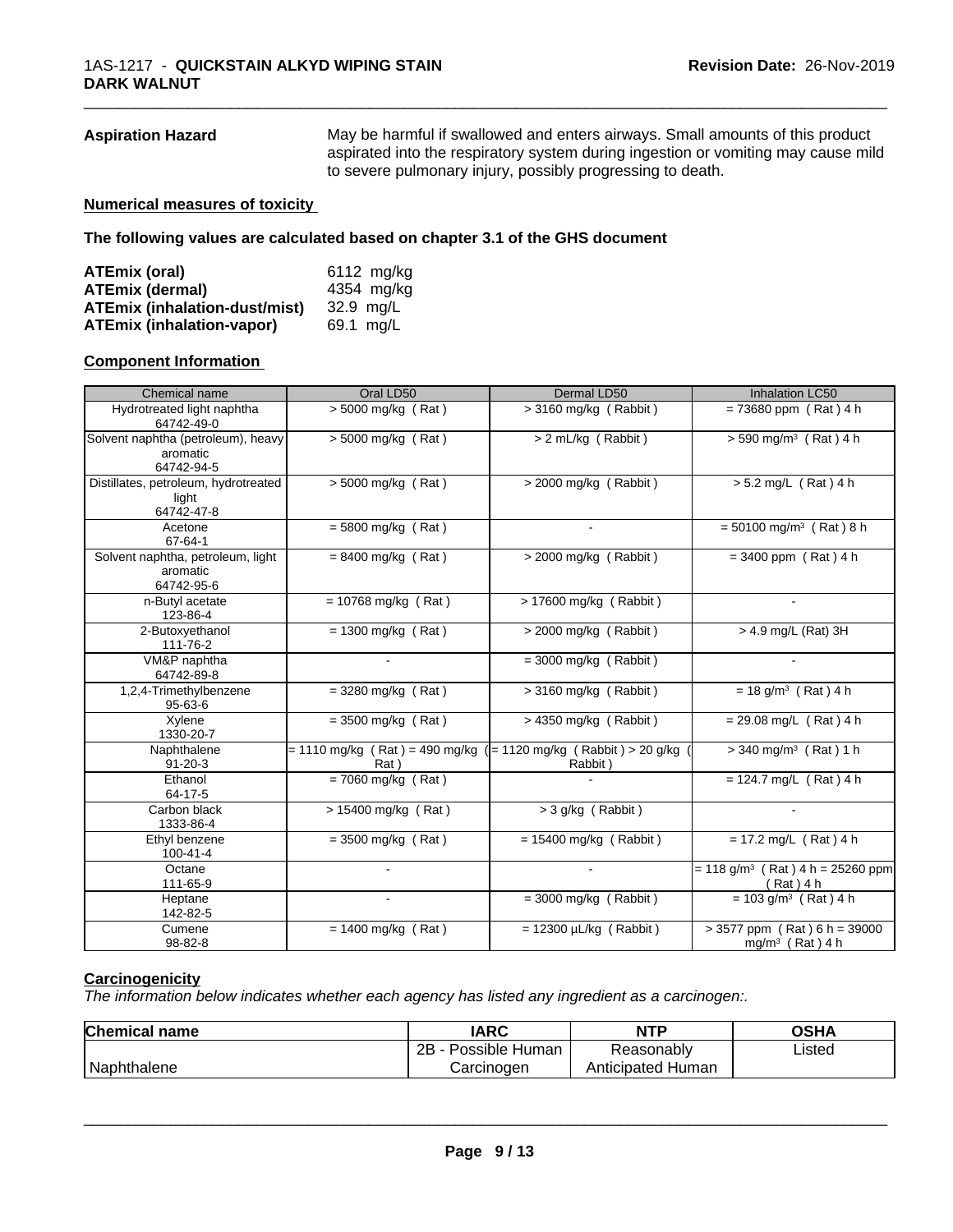**Aspiration Hazard** May be harmful if swallowed and enters airways. Small amounts of this product aspirated into the respiratory system during ingestion or vomiting may cause mild to severe pulmonary injury, possibly progressing to death.

\_\_\_\_\_\_\_\_\_\_\_\_\_\_\_\_\_\_\_\_\_\_\_\_\_\_\_\_\_\_\_\_\_\_\_\_\_\_\_\_\_\_\_\_\_\_\_\_\_\_\_\_\_\_\_\_\_\_\_\_\_\_\_\_\_\_\_\_\_\_\_\_\_\_\_\_\_\_\_\_\_\_\_\_\_\_\_\_\_\_\_\_\_

#### **Numerical measures of toxicity**

**The following values are calculated based on chapter 3.1 of the GHS document**

| ATEmix (oral)                        | 6112 mg/kg |
|--------------------------------------|------------|
| <b>ATEmix (dermal)</b>               | 4354 mg/kg |
| <b>ATEmix (inhalation-dust/mist)</b> | 32.9 ma/L  |
| <b>ATEmix (inhalation-vapor)</b>     | 69.1 mg/L  |

#### **Component Information**

| Chemical name                                                | Oral LD50                                                                | Dermal LD50                 | Inhalation LC50                                             |
|--------------------------------------------------------------|--------------------------------------------------------------------------|-----------------------------|-------------------------------------------------------------|
| Hydrotreated light naphtha<br>64742-49-0                     | $> 5000$ mg/kg (Rat)                                                     | $>$ 3160 mg/kg (Rabbit)     | $= 73680$ ppm (Rat) 4 h                                     |
| Solvent naphtha (petroleum), heavy<br>aromatic<br>64742-94-5 | $> 5000$ mg/kg (Rat)                                                     | > 2 mL/kg (Rabbit)          | $> 590$ mg/m <sup>3</sup> (Rat) 4 h                         |
| Distillates, petroleum, hydrotreated<br>light<br>64742-47-8  | $\sqrt{5000}$ mg/kg (Rat)                                                | $>$ 2000 mg/kg (Rabbit)     | $> 5.2$ mg/L (Rat) 4 h                                      |
| Acetone<br>67-64-1                                           | $= 5800$ mg/kg (Rat)                                                     |                             | $= 50100$ mg/m <sup>3</sup> (Rat) 8 h                       |
| Solvent naphtha, petroleum, light<br>aromatic<br>64742-95-6  | $= 8400$ mg/kg (Rat)                                                     | $>$ 2000 mg/kg (Rabbit)     | $= 3400$ ppm (Rat) 4 h                                      |
| n-Butyl acetate<br>123-86-4                                  | $= 10768$ mg/kg (Rat)                                                    | > 17600 mg/kg (Rabbit)      | $\mathbf{r}$                                                |
| 2-Butoxyethanol<br>111-76-2                                  | $= 1300$ mg/kg (Rat)                                                     | > 2000 mg/kg (Rabbit)       | > 4.9 mg/L (Rat) 3H                                         |
| VM&P naphtha<br>64742-89-8                                   |                                                                          | $=$ 3000 mg/kg (Rabbit)     |                                                             |
| 1,2,4-Trimethylbenzene<br>$95 - 63 - 6$                      | $=$ 3280 mg/kg (Rat)                                                     | $>$ 3160 mg/kg (Rabbit)     | $= 18$ g/m <sup>3</sup> (Rat) 4 h                           |
| Xylene<br>1330-20-7                                          | $=$ 3500 mg/kg (Rat)                                                     | $> 4350$ mg/kg (Rabbit)     | $= 29.08$ mg/L (Rat) 4 h                                    |
| Naphthalene<br>$91 - 20 - 3$                                 | = 1110 mg/kg (Rat) = 490 mg/kg ( = 1120 mg/kg (Rabbit) > 20 g/kg<br>Rat) | Rabbit)                     | $>$ 340 mg/m <sup>3</sup> (Rat) 1 h                         |
| Ethanol<br>64-17-5                                           | $= 7060$ mg/kg (Rat)                                                     |                             | $= 124.7$ mg/L (Rat) 4 h                                    |
| Carbon black<br>1333-86-4                                    | > 15400 mg/kg (Rat)                                                      | $>$ 3 g/kg (Rabbit)         |                                                             |
| Ethyl benzene<br>100-41-4                                    | $=$ 3500 mg/kg (Rat)                                                     | $= 15400$ mg/kg (Rabbit)    | $= 17.2$ mg/L (Rat) 4 h                                     |
| Octane<br>111-65-9                                           |                                                                          |                             | $= 118$ g/m <sup>3</sup> (Rat) 4 h = 25260 ppm<br>(Rat) 4 h |
| Heptane<br>142-82-5                                          |                                                                          | $=$ 3000 mg/kg (Rabbit)     | $= 103$ g/m <sup>3</sup> (Rat) 4 h                          |
| Cumene<br>98-82-8                                            | $= 1400$ mg/kg (Rat)                                                     | $= 12300 \mu L/kg$ (Rabbit) | $> 3577$ ppm (Rat) 6 h = 39000<br>$mg/m3$ (Rat) 4 h         |

## **Carcinogenicity**

*The information below indicateswhether each agency has listed any ingredient as a carcinogen:.*

| <b>Chemical name</b> | <b>IARC</b>          | <b>NTP</b>           | OSHA   |  |
|----------------------|----------------------|----------------------|--------|--|
|                      | 2B<br>Possible Human | Reasonably           | Listed |  |
| Naphthalene          | Carcinogen           | Human<br>Anticipated |        |  |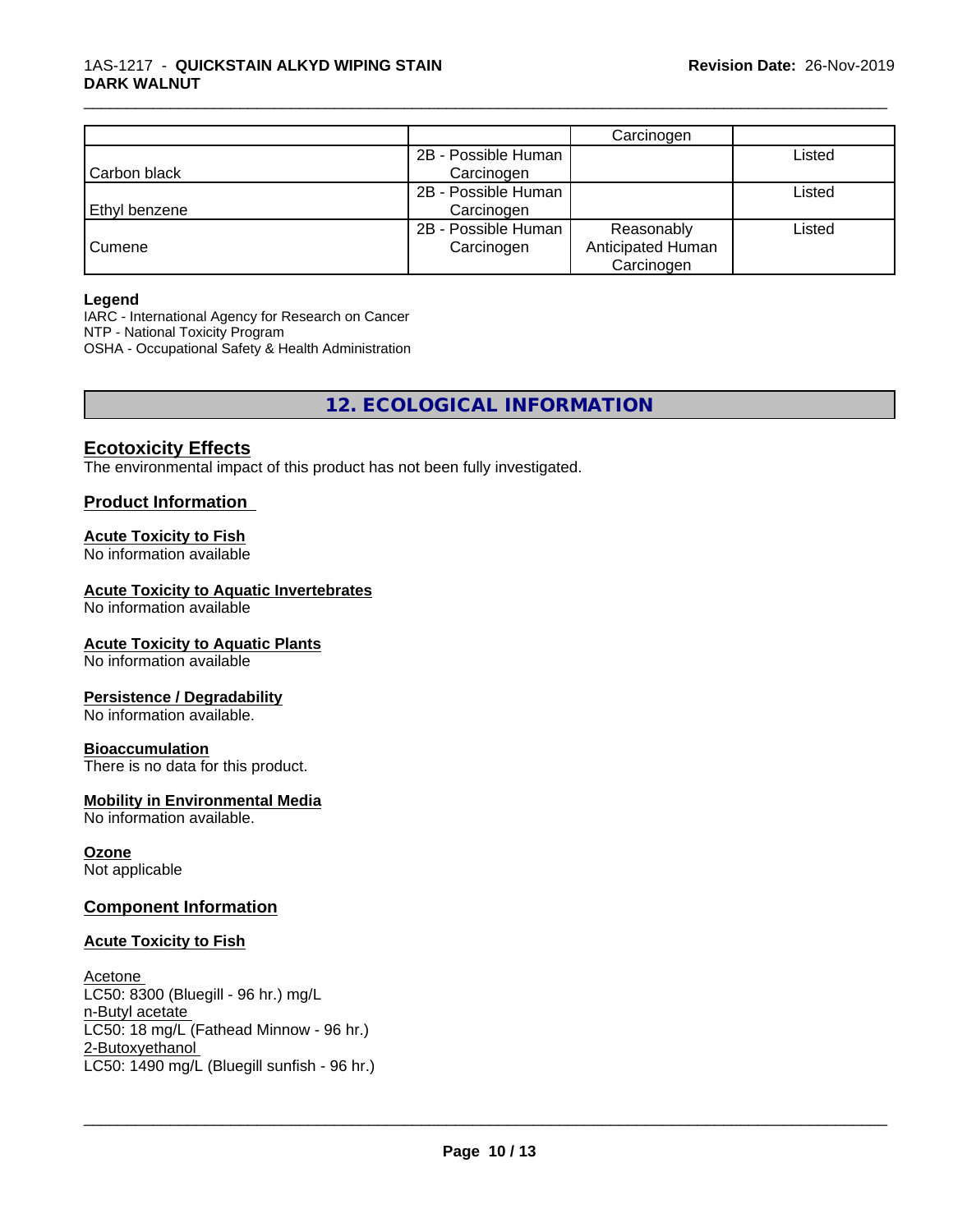|               |                     | Carcinogen        |        |
|---------------|---------------------|-------------------|--------|
|               | 2B - Possible Human |                   | Listed |
| Carbon black  | Carcinogen          |                   |        |
|               | 2B - Possible Human |                   | Listed |
| Ethyl benzene | Carcinogen          |                   |        |
|               | 2B - Possible Human | Reasonably        | Listed |
| Cumene        | Carcinogen          | Anticipated Human |        |
|               |                     | Carcinogen        |        |

\_\_\_\_\_\_\_\_\_\_\_\_\_\_\_\_\_\_\_\_\_\_\_\_\_\_\_\_\_\_\_\_\_\_\_\_\_\_\_\_\_\_\_\_\_\_\_\_\_\_\_\_\_\_\_\_\_\_\_\_\_\_\_\_\_\_\_\_\_\_\_\_\_\_\_\_\_\_\_\_\_\_\_\_\_\_\_\_\_\_\_\_\_

#### **Legend**

IARC - International Agency for Research on Cancer NTP - National Toxicity Program OSHA - Occupational Safety & Health Administration

# **12. ECOLOGICAL INFORMATION**

# **Ecotoxicity Effects**

The environmental impact of this product has not been fully investigated.

# **Product Information**

### **Acute Toxicity to Fish**

No information available

### **Acute Toxicity to Aquatic Invertebrates**

No information available

#### **Acute Toxicity to Aquatic Plants**

No information available

#### **Persistence / Degradability**

No information available.

#### **Bioaccumulation**

There is no data for this product.

#### **Mobility in Environmental Media**

No information available.

#### **Ozone**

Not applicable

# **Component Information**

#### **Acute Toxicity to Fish**

Acetone LC50: 8300 (Bluegill - 96 hr.) mg/L n-Butyl acetate LC50: 18 mg/L (Fathead Minnow - 96 hr.) 2-Butoxyethanol \_\_\_\_\_\_\_\_\_\_\_\_\_\_\_\_\_\_\_\_\_\_\_\_\_\_\_\_\_\_\_\_\_\_\_\_\_\_\_\_\_\_\_\_\_\_\_\_\_\_\_\_\_\_\_\_\_\_\_\_\_\_\_\_\_\_\_\_\_\_\_\_\_\_\_\_\_\_\_\_\_\_\_\_\_\_\_\_\_\_\_\_\_ LC50: 1490 mg/L (Bluegill sunfish - 96 hr.)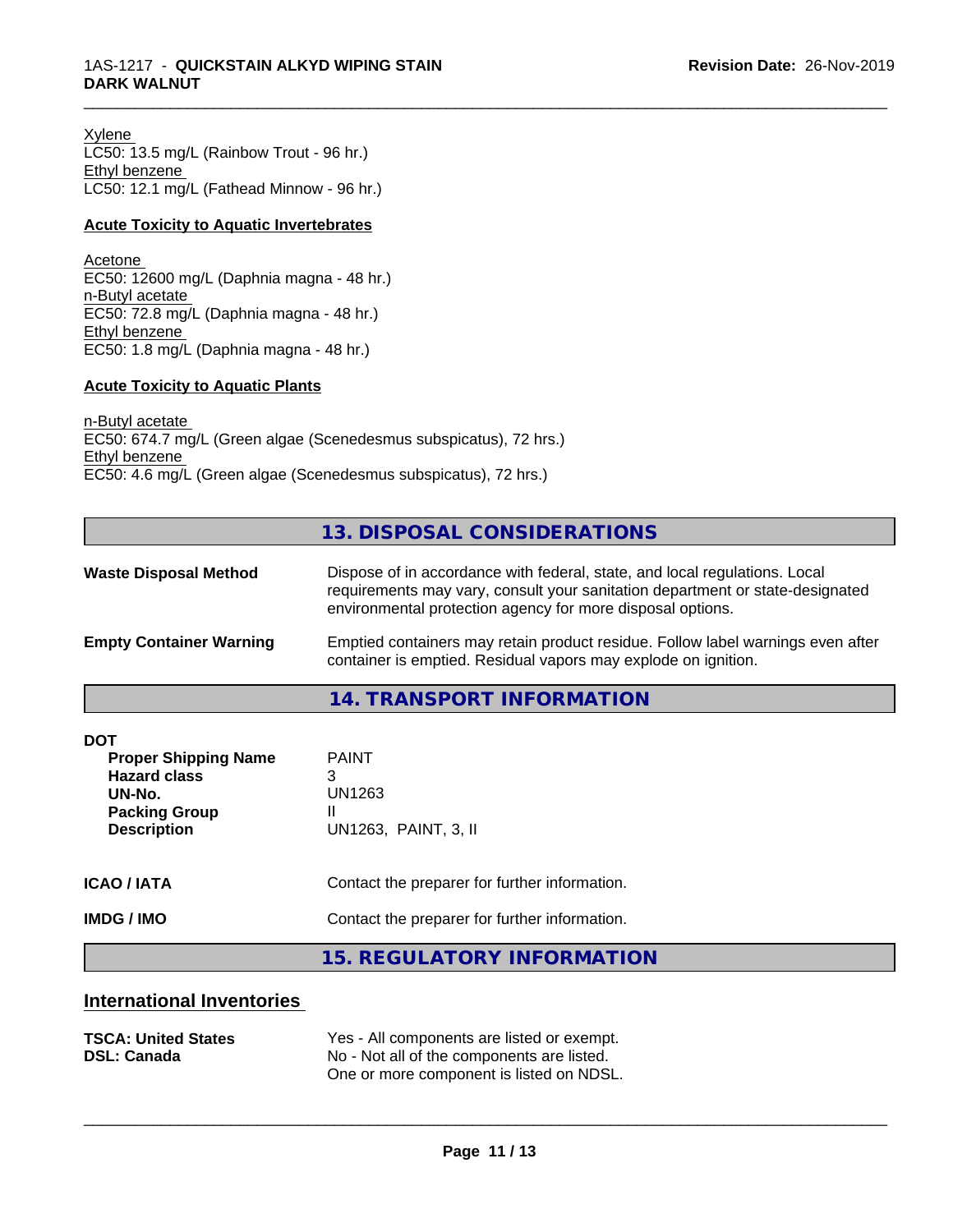Xylene LC50: 13.5 mg/L (Rainbow Trout - 96 hr.) Ethyl benzene LC50: 12.1 mg/L (Fathead Minnow - 96 hr.)

#### **Acute Toxicity to Aquatic Invertebrates**

Acetone EC50: 12600 mg/L (Daphnia magna - 48 hr.) n-Butyl acetate EC50: 72.8 mg/L (Daphnia magna - 48 hr.) Ethyl benzene EC50: 1.8 mg/L (Daphnia magna - 48 hr.)

#### **Acute Toxicity to Aquatic Plants**

n-Butyl acetate EC50: 674.7 mg/L (Green algae (Scenedesmus subspicatus), 72 hrs.) Ethyl benzene EC50: 4.6 mg/L (Green algae (Scenedesmus subspicatus), 72 hrs.)

# **13. DISPOSAL CONSIDERATIONS**

\_\_\_\_\_\_\_\_\_\_\_\_\_\_\_\_\_\_\_\_\_\_\_\_\_\_\_\_\_\_\_\_\_\_\_\_\_\_\_\_\_\_\_\_\_\_\_\_\_\_\_\_\_\_\_\_\_\_\_\_\_\_\_\_\_\_\_\_\_\_\_\_\_\_\_\_\_\_\_\_\_\_\_\_\_\_\_\_\_\_\_\_\_

| <b>Waste Disposal Method</b>   | Dispose of in accordance with federal, state, and local regulations. Local<br>requirements may vary, consult your sanitation department or state-designated<br>environmental protection agency for more disposal options. |  |
|--------------------------------|---------------------------------------------------------------------------------------------------------------------------------------------------------------------------------------------------------------------------|--|
| <b>Empty Container Warning</b> | Emptied containers may retain product residue. Follow label warnings even after<br>container is emptied. Residual vapors may explode on ignition.                                                                         |  |
|                                | $1.1$ TD $1.10000T$ in $\Gamma$ $\cap$ $\Gamma$ $\Gamma$ $\Gamma$                                                                                                                                                         |  |

**14. TRANSPORT INFORMATION**

| <b>DOT</b><br><b>Proper Shipping Name</b><br><b>Hazard class</b><br>UN-No.<br><b>Packing Group</b><br><b>Description</b> | <b>PAINT</b><br>3<br>UN1263<br>UN1263, PAINT, 3, II |
|--------------------------------------------------------------------------------------------------------------------------|-----------------------------------------------------|
| <b>ICAO/IATA</b>                                                                                                         | Contact the preparer for further information.       |
| <b>IMDG / IMO</b>                                                                                                        | Contact the preparer for further information.       |
|                                                                                                                          | 15 DECHLATODY INFODIAATION                          |

**15. REGULATORY INFORMATION**

# **International Inventories**

| <b>TSCA: United States</b> | Yes - All components are listed or exempt. |
|----------------------------|--------------------------------------------|
| <b>DSL: Canada</b>         | No - Not all of the components are listed. |
|                            | One or more component is listed on NDSL.   |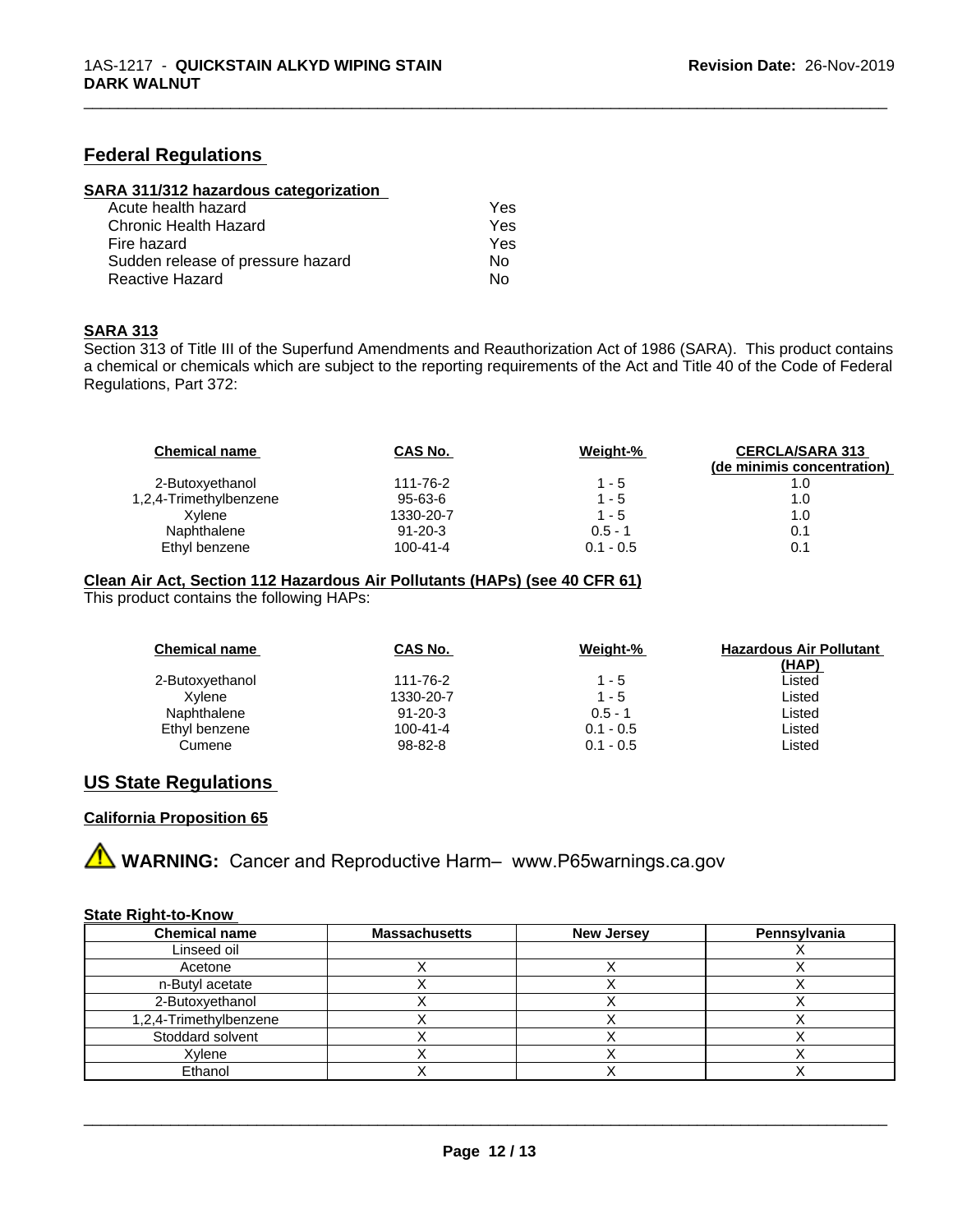# **Federal Regulations**

| SARA 311/312 hazardous categorization |  |
|---------------------------------------|--|
|                                       |  |

| Acute health hazard               | Yes. |
|-----------------------------------|------|
| Chronic Health Hazard             | Yes  |
| Fire hazard                       | Yes  |
| Sudden release of pressure hazard | N٥   |
| Reactive Hazard                   | N٥   |

#### **SARA 313**

Section 313 of Title III of the Superfund Amendments and Reauthorization Act of 1986 (SARA). This product contains a chemical or chemicals which are subject to the reporting requirements of the Act and Title 40 of the Code of Federal Regulations, Part 372:

\_\_\_\_\_\_\_\_\_\_\_\_\_\_\_\_\_\_\_\_\_\_\_\_\_\_\_\_\_\_\_\_\_\_\_\_\_\_\_\_\_\_\_\_\_\_\_\_\_\_\_\_\_\_\_\_\_\_\_\_\_\_\_\_\_\_\_\_\_\_\_\_\_\_\_\_\_\_\_\_\_\_\_\_\_\_\_\_\_\_\_\_\_

| CAS No.        | Weight-%    | <b>CERCLA/SARA 313</b><br>(de minimis concentration) |
|----------------|-------------|------------------------------------------------------|
| 111-76-2       | $1 - 5$     |                                                      |
| 95-63-6        | $1 - 5$     | 1.0                                                  |
| 1330-20-7      | $1 - 5$     | 1.0                                                  |
| $91 - 20 - 3$  | $0.5 - 1$   | 0.1                                                  |
| $100 - 41 - 4$ | $0.1 - 0.5$ | 0.1                                                  |
|                |             |                                                      |

#### **Clean Air Act,Section 112 Hazardous Air Pollutants (HAPs) (see 40 CFR 61)**

This product contains the following HAPs:

| <b>Chemical name</b> | <b>CAS No.</b> | Weight-%    | <b>Hazardous Air Pollutant</b> |
|----------------------|----------------|-------------|--------------------------------|
|                      |                |             | <u>(HAP)</u>                   |
| 2-Butoxyethanol      | 111-76-2       | $1 - 5$     | Listed                         |
| Xvlene               | 1330-20-7      | $1 - 5$     | Listed                         |
| Naphthalene          | $91 - 20 - 3$  | $0.5 - 1$   | Listed                         |
| Ethyl benzene        | $100 - 41 - 4$ | $0.1 - 0.5$ | Listed                         |
| Cumene               | $98 - 82 - 8$  | $0.1 - 0.5$ | Listed                         |

# **US State Regulations**

# **California Proposition 65**



#### **State Right-to-Know**

| <b>Chemical name</b>   | <b>Massachusetts</b> | <b>New Jersey</b> | Pennsylvania |
|------------------------|----------------------|-------------------|--------------|
| Linseed oil            |                      |                   |              |
| Acetone                |                      |                   |              |
| n-Butyl acetate        |                      |                   |              |
| 2-Butoxyethanol        |                      |                   |              |
| 1,2,4-Trimethylbenzene |                      |                   |              |
| Stoddard solvent       |                      |                   |              |
| Xvlene                 |                      |                   |              |
| Ethanol                |                      |                   |              |